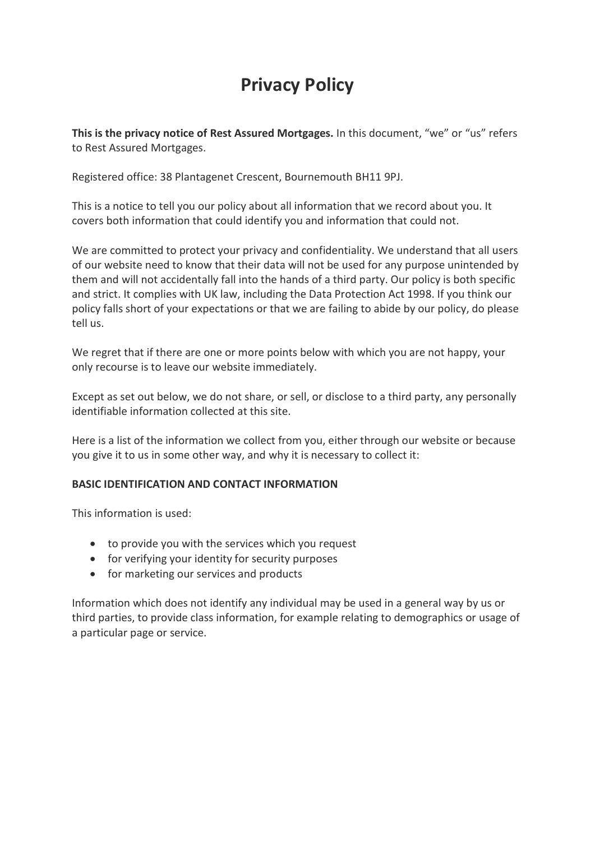# Privacy Policy

This is the privacy notice of Rest Assured Mortgages. In this document, "we" or "us" refers to Rest Assured Mortgages.

Registered office: 38 Plantagenet Crescent, Bournemouth BH11 9PJ.

This is a notice to tell you our policy about all information that we record about you. It covers both information that could identify you and information that could not.

We are committed to protect your privacy and confidentiality. We understand that all users of our website need to know that their data will not be used for any purpose unintended by them and will not accidentally fall into the hands of a third party. Our policy is both specific and strict. It complies with UK law, including the Data Protection Act 1998. If you think our policy falls short of your expectations or that we are failing to abide by our policy, do please tell us.

We regret that if there are one or more points below with which you are not happy, your only recourse is to leave our website immediately.

Except as set out below, we do not share, or sell, or disclose to a third party, any personally identifiable information collected at this site.

Here is a list of the information we collect from you, either through our website or because you give it to us in some other way, and why it is necessary to collect it:

# BASIC IDENTIFICATION AND CONTACT INFORMATION

This information is used:

- to provide you with the services which you request
- for verifying your identity for security purposes
- for marketing our services and products

Information which does not identify any individual may be used in a general way by us or third parties, to provide class information, for example relating to demographics or usage of a particular page or service.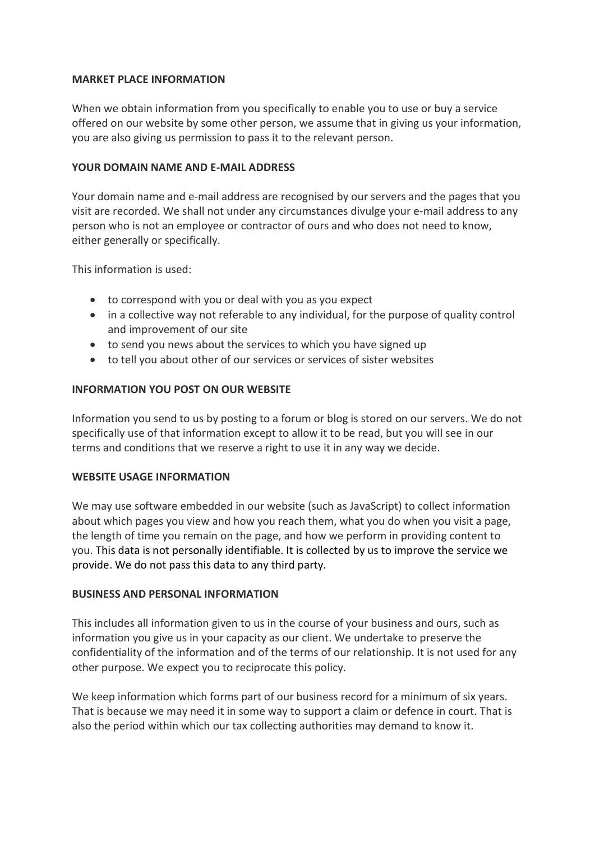## MARKET PLACE INFORMATION

When we obtain information from you specifically to enable you to use or buy a service offered on our website by some other person, we assume that in giving us your information, you are also giving us permission to pass it to the relevant person.

## YOUR DOMAIN NAME AND E-MAIL ADDRESS

Your domain name and e-mail address are recognised by our servers and the pages that you visit are recorded. We shall not under any circumstances divulge your e-mail address to any person who is not an employee or contractor of ours and who does not need to know, either generally or specifically.

This information is used:

- to correspond with you or deal with you as you expect
- in a collective way not referable to any individual, for the purpose of quality control and improvement of our site
- to send you news about the services to which you have signed up
- to tell you about other of our services or services of sister websites

#### INFORMATION YOU POST ON OUR WEBSITE

Information you send to us by posting to a forum or blog is stored on our servers. We do not specifically use of that information except to allow it to be read, but you will see in our terms and conditions that we reserve a right to use it in any way we decide.

#### WEBSITE USAGE INFORMATION

We may use software embedded in our website (such as JavaScript) to collect information about which pages you view and how you reach them, what you do when you visit a page, the length of time you remain on the page, and how we perform in providing content to you. This data is not personally identifiable. It is collected by us to improve the service we provide. We do not pass this data to any third party.

#### BUSINESS AND PERSONAL INFORMATION

This includes all information given to us in the course of your business and ours, such as information you give us in your capacity as our client. We undertake to preserve the confidentiality of the information and of the terms of our relationship. It is not used for any other purpose. We expect you to reciprocate this policy.

We keep information which forms part of our business record for a minimum of six years. That is because we may need it in some way to support a claim or defence in court. That is also the period within which our tax collecting authorities may demand to know it.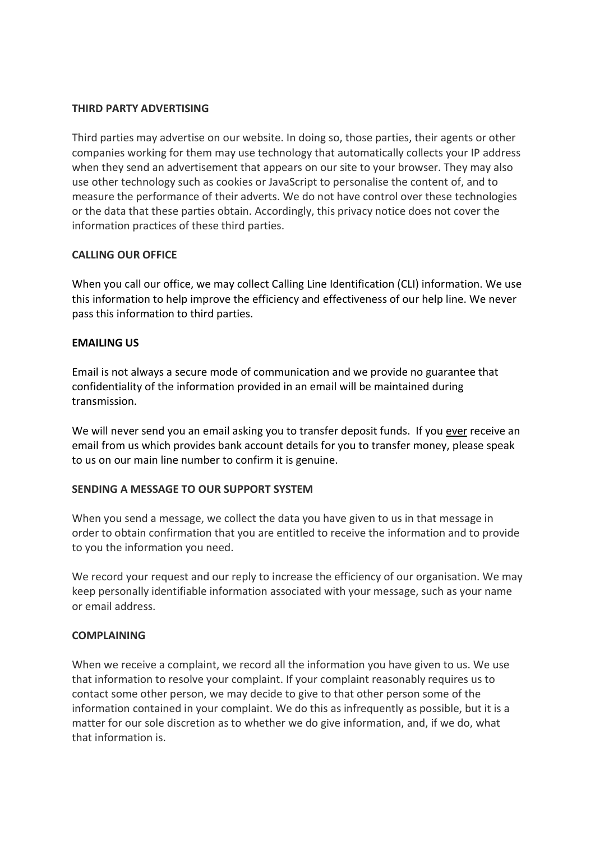#### THIRD PARTY ADVERTISING

Third parties may advertise on our website. In doing so, those parties, their agents or other companies working for them may use technology that automatically collects your IP address when they send an advertisement that appears on our site to your browser. They may also use other technology such as cookies or JavaScript to personalise the content of, and to measure the performance of their adverts. We do not have control over these technologies or the data that these parties obtain. Accordingly, this privacy notice does not cover the information practices of these third parties.

## CALLING OUR OFFICE

When you call our office, we may collect Calling Line Identification (CLI) information. We use this information to help improve the efficiency and effectiveness of our help line. We never pass this information to third parties.

## EMAILING US

Email is not always a secure mode of communication and we provide no guarantee that confidentiality of the information provided in an email will be maintained during transmission.

We will never send you an email asking you to transfer deposit funds. If you ever receive an email from us which provides bank account details for you to transfer money, please speak to us on our main line number to confirm it is genuine.

#### SENDING A MESSAGE TO OUR SUPPORT SYSTEM

When you send a message, we collect the data you have given to us in that message in order to obtain confirmation that you are entitled to receive the information and to provide to you the information you need.

We record your request and our reply to increase the efficiency of our organisation. We may keep personally identifiable information associated with your message, such as your name or email address.

#### COMPLAINING

When we receive a complaint, we record all the information you have given to us. We use that information to resolve your complaint. If your complaint reasonably requires us to contact some other person, we may decide to give to that other person some of the information contained in your complaint. We do this as infrequently as possible, but it is a matter for our sole discretion as to whether we do give information, and, if we do, what that information is.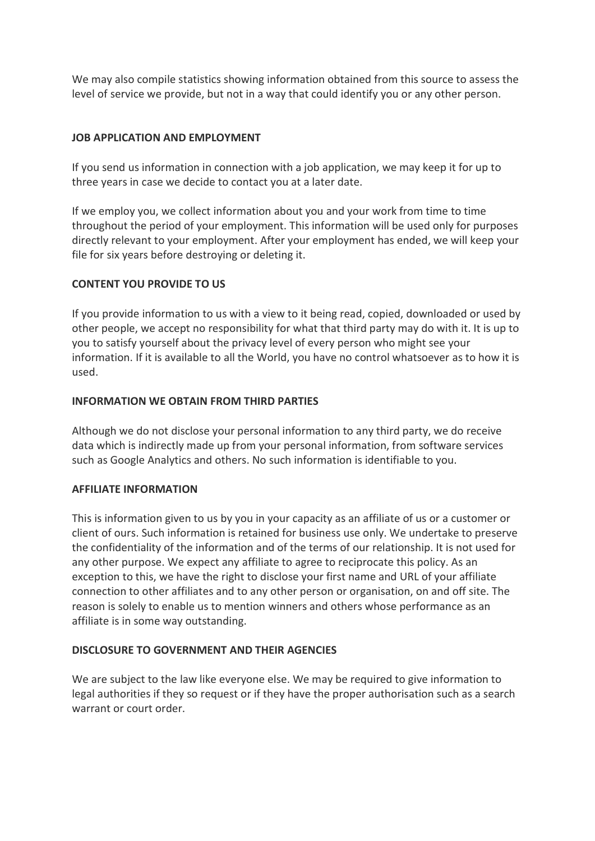We may also compile statistics showing information obtained from this source to assess the level of service we provide, but not in a way that could identify you or any other person.

## JOB APPLICATION AND EMPLOYMENT

If you send us information in connection with a job application, we may keep it for up to three years in case we decide to contact you at a later date.

If we employ you, we collect information about you and your work from time to time throughout the period of your employment. This information will be used only for purposes directly relevant to your employment. After your employment has ended, we will keep your file for six years before destroying or deleting it.

## CONTENT YOU PROVIDE TO US

If you provide information to us with a view to it being read, copied, downloaded or used by other people, we accept no responsibility for what that third party may do with it. It is up to you to satisfy yourself about the privacy level of every person who might see your information. If it is available to all the World, you have no control whatsoever as to how it is used.

## INFORMATION WE OBTAIN FROM THIRD PARTIES

Although we do not disclose your personal information to any third party, we do receive data which is indirectly made up from your personal information, from software services such as Google Analytics and others. No such information is identifiable to you.

# AFFILIATE INFORMATION

This is information given to us by you in your capacity as an affiliate of us or a customer or client of ours. Such information is retained for business use only. We undertake to preserve the confidentiality of the information and of the terms of our relationship. It is not used for any other purpose. We expect any affiliate to agree to reciprocate this policy. As an exception to this, we have the right to disclose your first name and URL of your affiliate connection to other affiliates and to any other person or organisation, on and off site. The reason is solely to enable us to mention winners and others whose performance as an affiliate is in some way outstanding.

#### DISCLOSURE TO GOVERNMENT AND THEIR AGENCIES

We are subject to the law like everyone else. We may be required to give information to legal authorities if they so request or if they have the proper authorisation such as a search warrant or court order.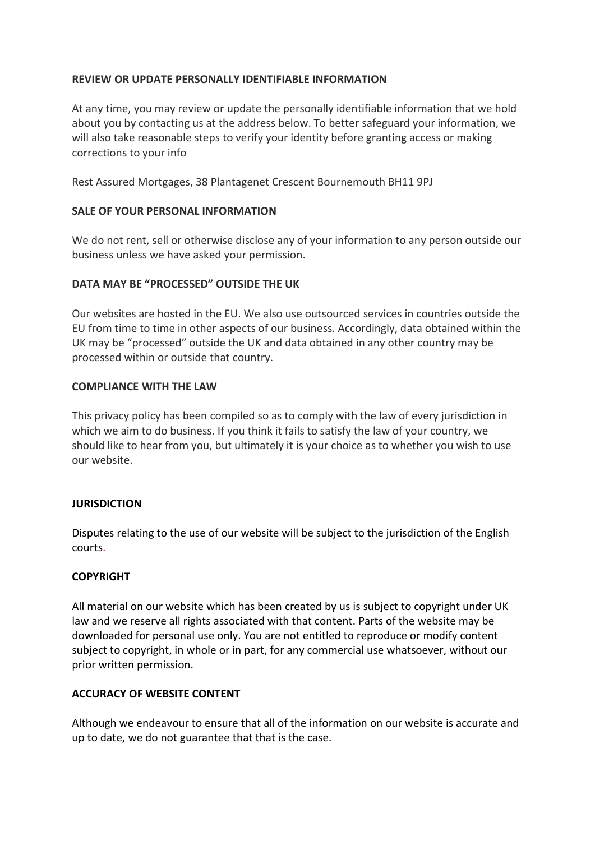## REVIEW OR UPDATE PERSONALLY IDENTIFIABLE INFORMATION

At any time, you may review or update the personally identifiable information that we hold about you by contacting us at the address below. To better safeguard your information, we will also take reasonable steps to verify your identity before granting access or making corrections to your info

Rest Assured Mortgages, 38 Plantagenet Crescent Bournemouth BH11 9PJ

## SALE OF YOUR PERSONAL INFORMATION

We do not rent, sell or otherwise disclose any of your information to any person outside our business unless we have asked your permission.

## DATA MAY BE "PROCESSED" OUTSIDE THE UK

Our websites are hosted in the EU. We also use outsourced services in countries outside the EU from time to time in other aspects of our business. Accordingly, data obtained within the UK may be "processed" outside the UK and data obtained in any other country may be processed within or outside that country.

#### COMPLIANCE WITH THE LAW

This privacy policy has been compiled so as to comply with the law of every jurisdiction in which we aim to do business. If you think it fails to satisfy the law of your country, we should like to hear from you, but ultimately it is your choice as to whether you wish to use our website.

#### **JURISDICTION**

Disputes relating to the use of our website will be subject to the jurisdiction of the English courts.

#### COPYRIGHT

All material on our website which has been created by us is subject to copyright under UK law and we reserve all rights associated with that content. Parts of the website may be downloaded for personal use only. You are not entitled to reproduce or modify content subject to copyright, in whole or in part, for any commercial use whatsoever, without our prior written permission.

# ACCURACY OF WEBSITE CONTENT

Although we endeavour to ensure that all of the information on our website is accurate and up to date, we do not guarantee that that is the case.